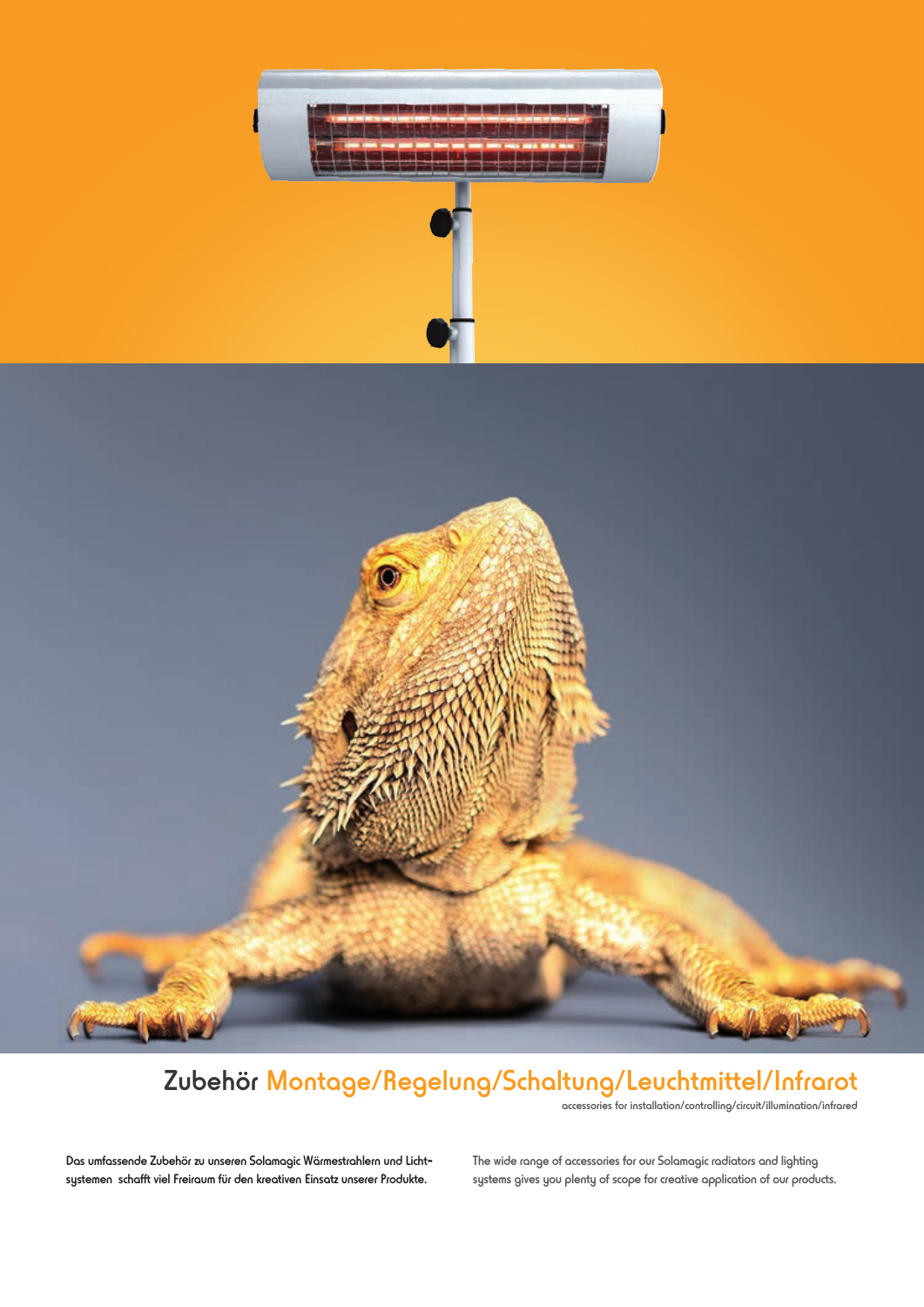



## Zubehör Montage/Regelung/Schaltung/Leuchtmittel/Infrarot

accessories for installation/controlling/circuit/illumination/infrared

Das umfassende Zubehör zu unseren Solamagic Wärmestrahlern und Lichtsystemen schafft viel Freiraum für den kreativen Einsatz unserer Produkte.

The wide range of accessories for our Solamagic radiators and lighting systems gives you plenty of scope for creative application of our products.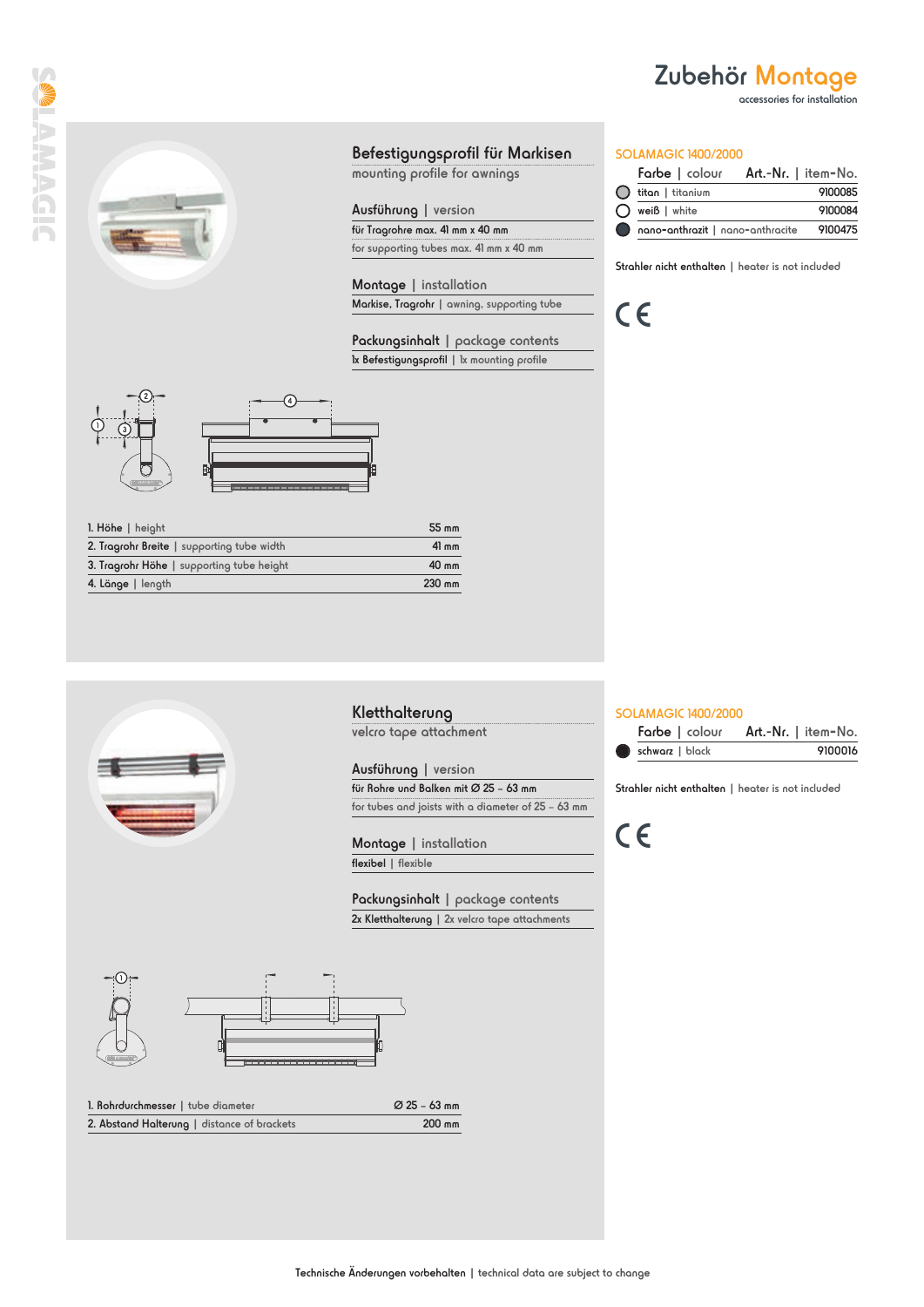accessories for installation

**SIDVWVIE** 

### Befestigungsprofil für Markisen

mounting profile for awnings

#### Ausführung | version

für Tragrohre max. 41 mm x 40 mm for supporting tubes max. 41 mm x 40 mm

Montage | installation Markise, Tragrohr | awning, supporting tube

Packungsinhalt | package contents Ix Befestigungsprofil | 1x mounting profile





| $l.$ Höhe   height                         | 55 mm  |
|--------------------------------------------|--------|
| 2. Tragrohr Breite   supporting tube width | 41 mm  |
| 3. Tragrohr Höhe   supporting tube height  | 40 mm  |
| 4. Länge   length                          | 230 mm |

#### SOLAMAGIC 1400/2000

C

|           |                        | Farbe   colour Art.-Nr.   item-No.       |
|-----------|------------------------|------------------------------------------|
|           | () titan   titanium    | 9100085                                  |
|           | $\bigcap$ weiß   white | 9100084                                  |
| $\bullet$ |                        | nano-anthrazit   nano-anthracite 9100475 |

Strahler nicht enthalten | heater is not included

### SOLAMAGIC 1400/2000

|                 |  | Farbe   colour Art.-Nr.   item-No. |         |
|-----------------|--|------------------------------------|---------|
| schwarz   black |  |                                    | 9100016 |

Strahler nicht enthalten | heater is not included

C



#### Kletthalterung

velcro tape attachment

Ausführung | version

für Rohre und Balken mit Ø 25 – 63 mm for tubes and joists with a diameter of 25 – 63 mm

Montage | installation flexibel | flexible

Packungsinhalt | package contents 2x Kletthalterung | 2x velcro tape attachments



| 1. Rohrdurchmesser   tube diameter          | Ø 25 – 63 mm |
|---------------------------------------------|--------------|
| 2. Abstand Halterung   distance of brackets | 200 mm       |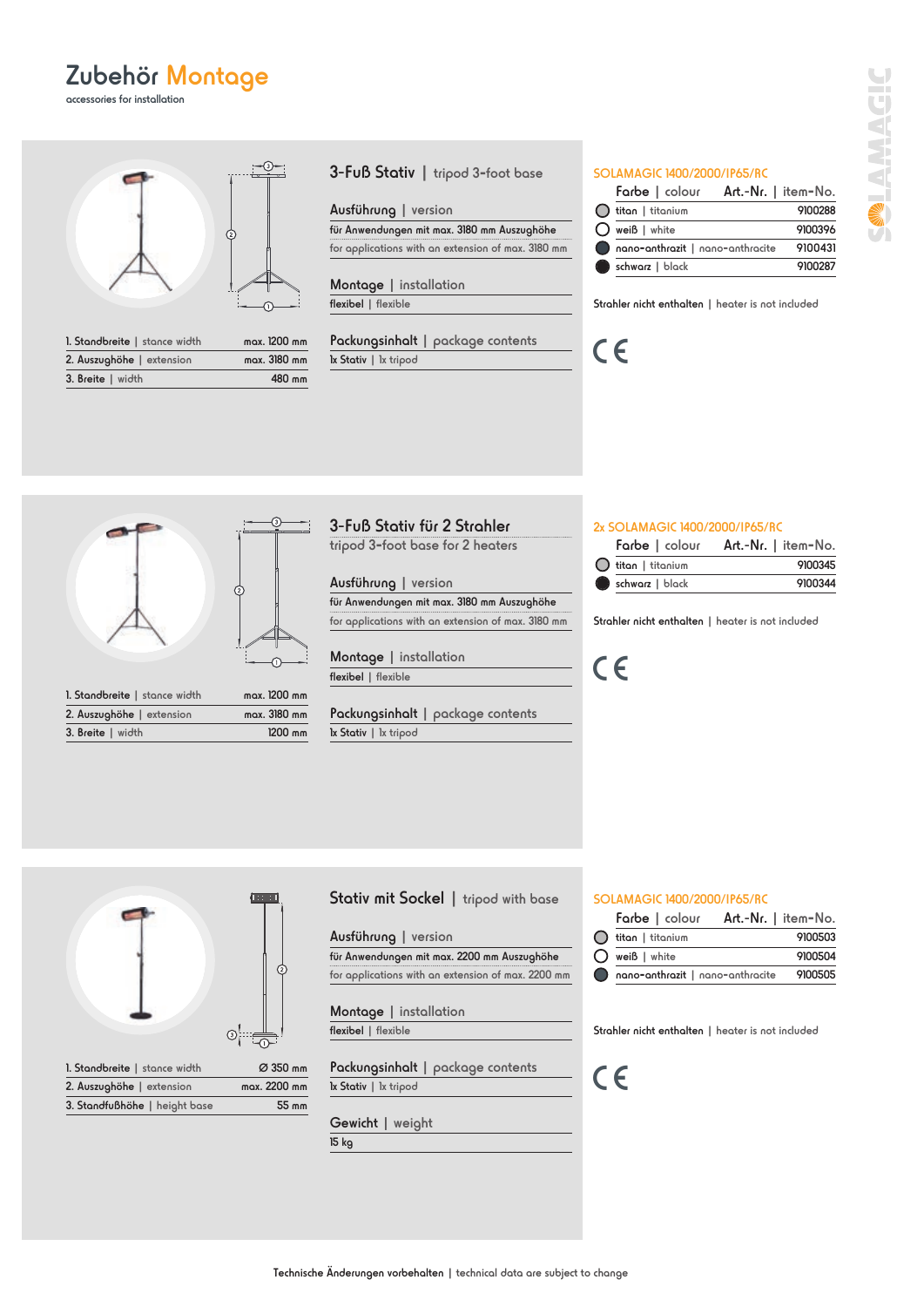accessories for installation



| 1. Standbreite   stance width | mgx. 1200 mm |
|-------------------------------|--------------|
| 2. Auszughöhe   extension     | mgx. 3180 mm |
| 3. Breite   width             | 480 mm       |

3-Fuß Stativ | tripod 3**-**foot base

#### Ausführung | version

für Anwendungen mit max. 3180 mm Auszughöhe for applications with an extension of max. 3180 mm

Montage | installation flexibel | flexible

Packungsinhalt | package contents 1x Stativ | 1x tripod

#### SOLAMAGIC 1400/2000/IP65/RC

|                                  | Farbe   colour Art.-Nr.   item-No. |
|----------------------------------|------------------------------------|
| $\bigcirc$ titan   titanium      | 9100288                            |
| $\bigcirc$ weiß   white          | 9100396                            |
| nano-anthrazit   nano-anthracite | 9100431                            |
| schwarz   black                  | 9100287                            |

Strahler nicht enthalten | heater is not included

C



| 1. Standbreite   stance width | max. 1200 mm |
|-------------------------------|--------------|
| 2. Auszughöhe   extension     | mgx. 3180 mm |
| 3. Breite   width             | 1200 mm      |

| 3-Fuß Stativ für 2 Strahler      |  |
|----------------------------------|--|
| tripod 3-foot base for 2 heaters |  |

#### Ausführung | version

für Anwendungen mit max. 3180 mm Auszughöhe for applications with an extension of max. 3180 mm

**Montage** flexibel | flexible  $\frac{1 \text{ installation}}{1 \text{ visible}}$  (  $\epsilon$ 

Packungsinhalt | package contents 1x Stativ | 1x tripod

#### 2x SOLAMAGIC 1400/2000/IP65/RC

|                   | Farbe   colour Art.-Nr.   item-No. |
|-------------------|------------------------------------|
| titan I titanium) | 9100345                            |
| schwarz   black   | 9100344                            |

Strahler nicht enthalten | heater is not included



| 1. Standbreite   stance width | Ø 350 mm     |
|-------------------------------|--------------|
| 2. Auszughöhe   extension     | mgx. 2200 mm |
| 3. Standfußhöhe   height base | 55 mm        |

#### Stativ mit Sockel | tripod with base SOLAMAGIC 1400/2000/IP65/RC

#### Ausführung | version

für Anwendungen mit max. 2200 mm Auszughöhe for applications with an extension of max. 2200 mm

Montage | installation flexibel | flexible

Packungsinhalt | package contents 1x Stativ | 1x tripod

Gewicht | weight 15 kg

|                            | Farbe   colour Art.-Nr.   item-No.       |
|----------------------------|------------------------------------------|
| $\bigcap$ titan   titanium | 9100503                                  |
| $\bigcap$ weiß   white     | 9100504                                  |
|                            | nano-anthrazit   nano-anthracite 9100505 |

Strahler nicht enthalten | heater is not included

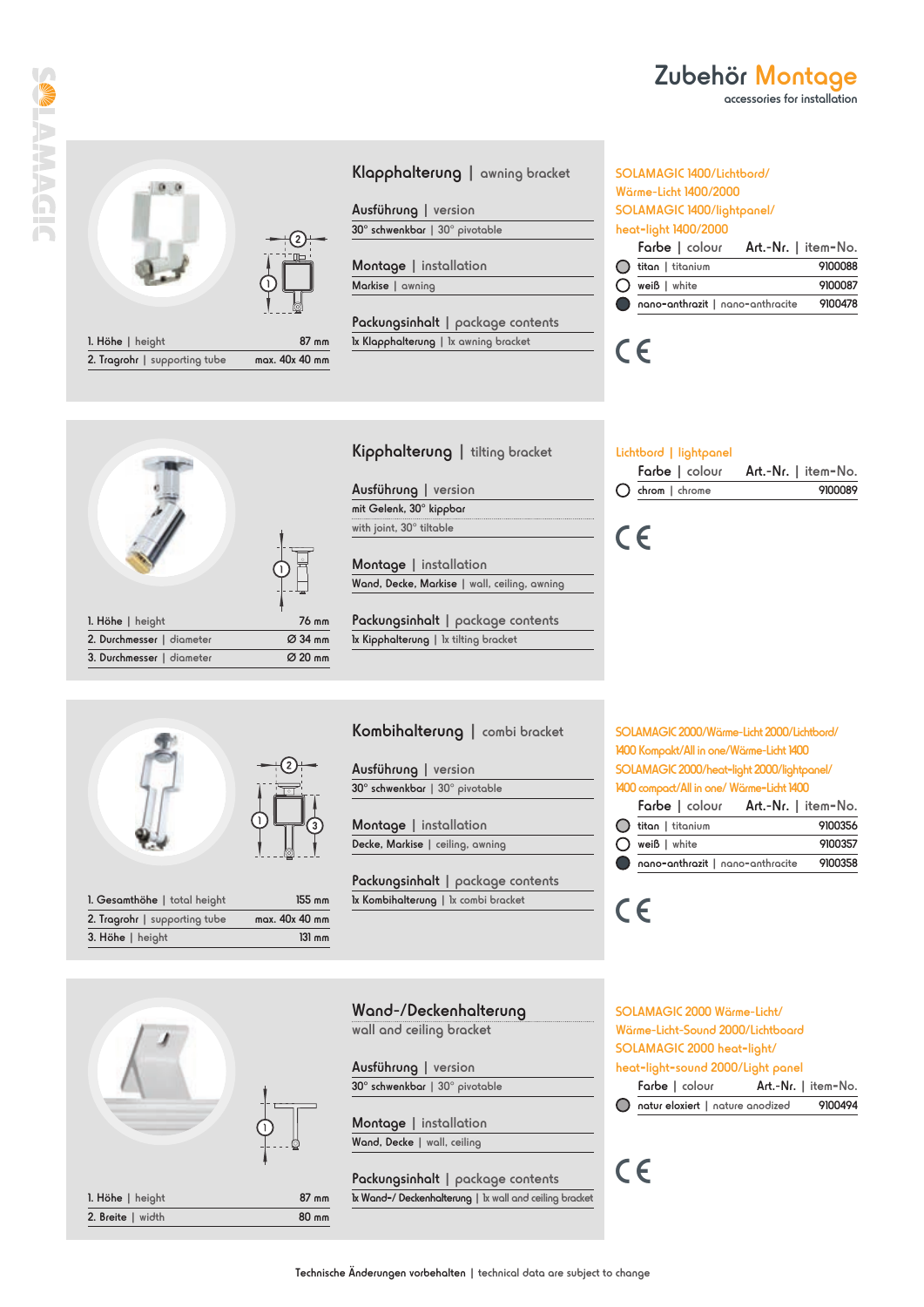

| $I.$ Hohe   height            | 87 mm          |
|-------------------------------|----------------|
| 2. Tragrohr   supporting tube | max. 40x 40 mm |

#### Klapphalterung | awning bracket

Ausführung | version 30° schwenkbar | 30° pivotable

Montage | installation Markise | awning

Packungsinhalt | package contents 1x Klapphalterung | 1x awning bracket

#### SOLAMAGIC 1400/Lichtbord/ Wärme-Licht 1400/2000 SOLAMAGIC 1400/lightpanel/ heat**-**light 1400/2000

|                            | Farbe   colour Art.-Nr.   item-No.     |
|----------------------------|----------------------------------------|
| $\bigcap$ titan   titanium | 9100088                                |
| $\bigcap$ weiß   white     | 9100087                                |
|                            | Concordination nano-anthracite 9100478 |

Zubehör Montage

accessories for installation

# $C \in$

 $C \in$ 



# Kipphalterung | tilting bracket

Ausführung | version mit Gelenk, 30° kippbar with joint, 30° tiltable

Montage | installation Wand, Decke, Markise | wall, ceiling, awning

Packungsinhalt | package contents 1x Kipphalterung | 1x tilting bracket

### Lichtbord | lightpanel

|                           | Farbe   colour Art.-Nr.   item-No. |
|---------------------------|------------------------------------|
| $\bigcirc$ chrom   chrome | 9100089                            |
|                           |                                    |



| <b>1. Gesamthöhe  </b> total height | 155 mm         |
|-------------------------------------|----------------|
| 2. Tragrohr   supporting tube       | max. 40x 40 mm |
| 3. Höhe   height                    | $31$ mm        |

#### Kombihalterung | combi bracket

Ausführung | version 30° schwenkbar | 30° pivotable

Montage | installation Decke, Markise | ceiling, awning

Packungsinhalt | package contents 1x Kombihalterung | 1x combi bracket

## SOLAMAGIC 2000/Wärme-Licht 2000/Lichtbord/ SOLAMAGIC 2000/heat**-**light 2000/lightpanel/

|                            | Farbe   colour Art.-Nr.   item-No.       |
|----------------------------|------------------------------------------|
| $\bigcap$ titan   titanium | 9100356                                  |
| $\bigcap$ weiß   white     | 9100357                                  |
|                            | nano-anthrazit   nano-anthracite 9100358 |

Wand-/Deckenhalterung wall and ceiling bracket

> Ausführung | version 30° schwenkbar | 30° pivotable

Montage | installation Wand, Decke | wall, ceiling

 $87$  mm 80 mm Packungsinhalt | package contents 1x Wand**-**/ Deckenhalterung | 1x wall and ceiling bracket SOLAMAGIC 2000 Wärme-Licht/ Wärme-Licht-Sound 2000/Lichtboard SOLAMAGIC 2000 heat**-**light/ heat**-**light**-**sound 2000/Light panel Farbe | colour Art.-Nr. | item**-**No. natur eloxiert | nature anodized 9100494

 $C \in$ 

 $C\in$ 

| T |  |
|---|--|

| 1. Höhe $ $ height |  |
|--------------------|--|
| 2. Breite   width  |  |

Technische Änderungen vorbehalten | technical data are subject to change

1400 Kompakt/All in one/Wärme-Licht 1400

1400 compact/All in one/ Wärme**-**Licht 1400

|                            | Farbe   colour Art.-Nr.   item-No. |
|----------------------------|------------------------------------|
| $\bigcap$ titan   titanium | 9100356                            |
| $\bigcap$ weiß   white     | 9100357                            |
|                            | Compared nano-anthracite 9100358   |
|                            |                                    |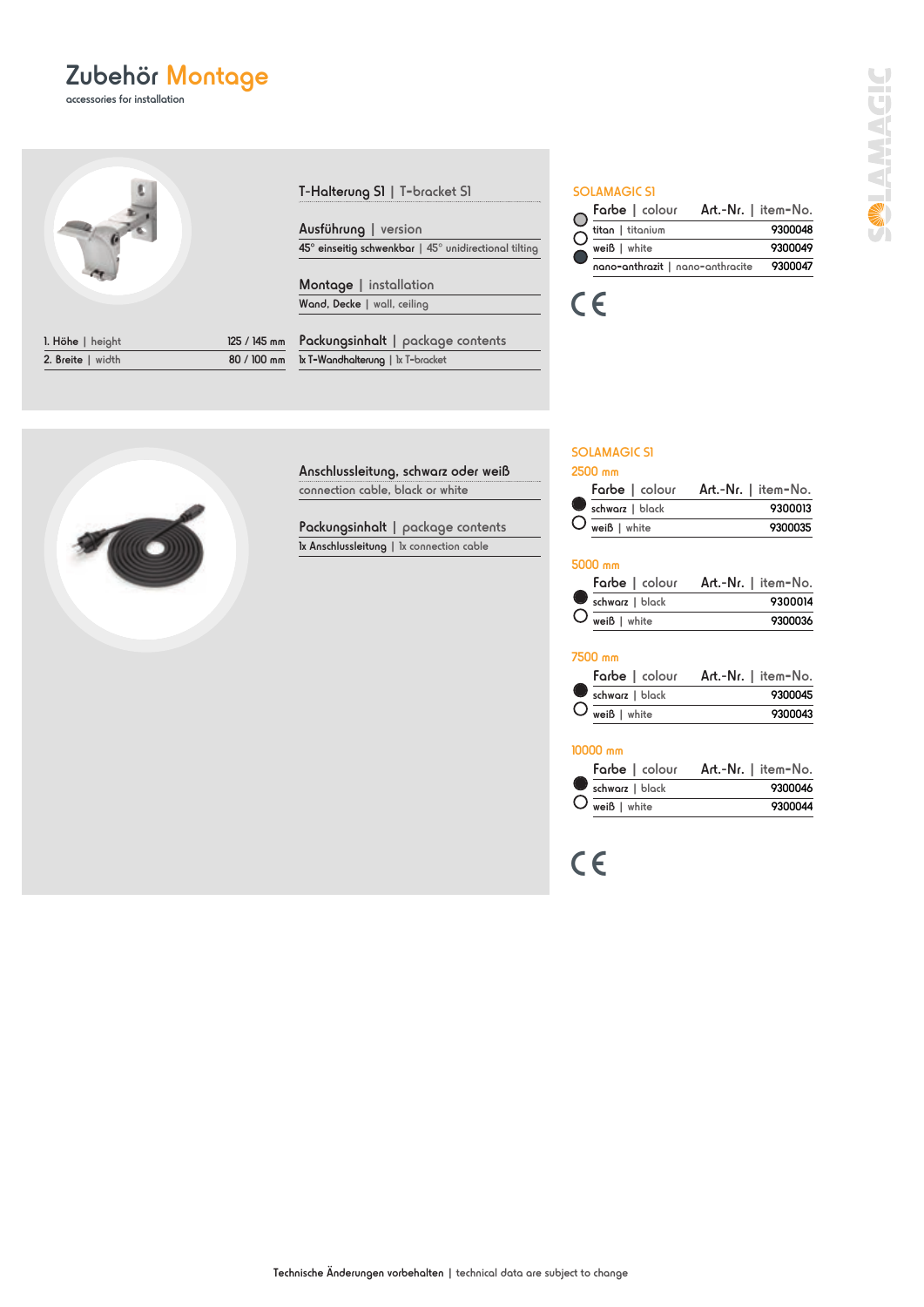accessories for installation



|                                  | 125 / 145 mm |
|----------------------------------|--------------|
| 80 / 100 mm<br>2. Breite   width |              |

| T- <b>Halterung S1</b>   T-bracket S1 |  |
|---------------------------------------|--|
|---------------------------------------|--|

Ausführung | version 45° einseitig schwenkbar | 45° unidirectional tilting

Montage | installation Wand, Decke | wall, ceiling

Packungsinhalt | package contents 1x T**-**Wandhalterung | 1x T**-**bracket

#### SOLAMAGIC S1

|                  | Farbe   colour Art.-Nr.   item-No.       |
|------------------|------------------------------------------|
| titan   titanium | 9300048                                  |
| $weiB$ $ $ white | 9300049                                  |
|                  | nano-anthrazit   nano-anthracite 9300047 |
|                  |                                          |



#### SOLAMAGIC S1

#### 2500 mm

|                        | Farbe   colour Art.-Nr.   item-No. |
|------------------------|------------------------------------|
| schwarz   black        | 9300013                            |
| $\bigcup$ weiß   white | 9300035                            |

#### 5000 mm

|                        | Farbe   colour Art.-Nr.   item-No. |
|------------------------|------------------------------------|
| schwarz   black        | 9300014                            |
| $\bigcup$ weiß   white | 9300036                            |

#### 7500 mm

|                                           | Farbe   colour Art.-Nr.   item-No. |
|-------------------------------------------|------------------------------------|
| schwarz   black                           | 9300045                            |
| $\bigcup \overline{\mathsf{wei}}$   white | 9300043                            |

#### 10000 mm

|                        | Farbe   colour Art.-Nr.   item-No. |
|------------------------|------------------------------------|
| schwarz   black        | 9300046                            |
| $\bigcup$ weiß   white | 9300044                            |

C



Anschlussleitung, schwarz oder weiß connection cable, black or white

Packungsinhalt | package contents 1x Anschlussleitung | 1x connection cable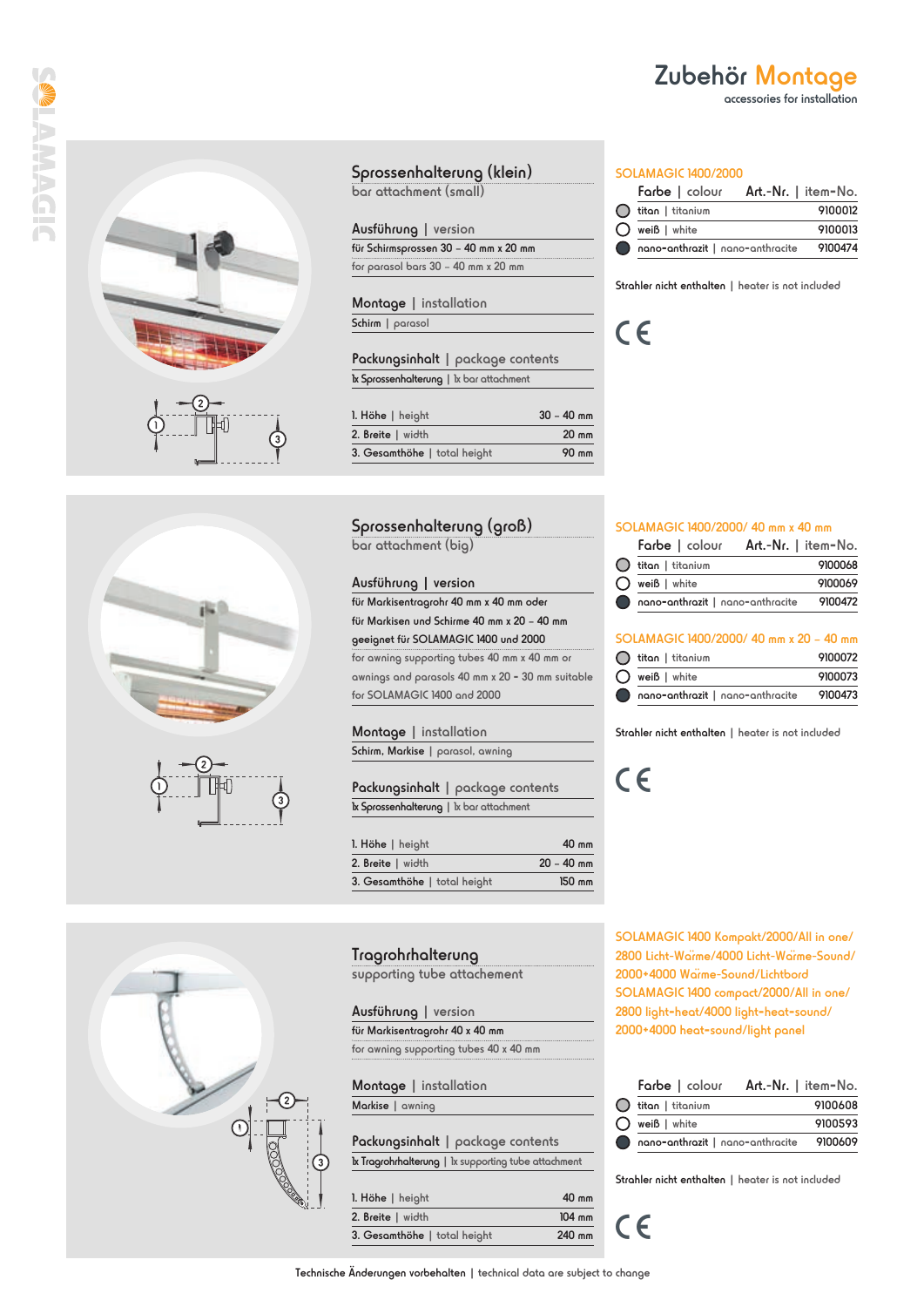





### Sprossenhalterung (klein)

bar attachment (small)

#### Ausführung | version

für Schirmsprossen 30 – 40 mm x 20 mm for parasol bars 30 – 40 mm x 20 mm

Montage | installation Schirm | parasol

Packungsinhalt | package contents 1x Sprossenhalterung | 1x bar attachment

| 1. Höhe   height             | $30 - 40$ mm    |
|------------------------------|-----------------|
| 2. Breite   width            | $20 \text{ mm}$ |
| 3. Gesamthöhe   total height | 90 mm           |

#### Sprossenhalterung (groß)

bar attachment (big)

#### Ausführung | version

für Markisentragrohr 40 mm x 40 mm oder für Markisen und Schirme 40 mm x 20 – 40 mm geeignet für SOLAMAGIC 1400 und 2000 for awning supporting tubes 40 mm x 40 mm or awnings and parasols 40 mm x 20 **-** 30 mm suitable for SOLAMAGIC 1400 and 2000

#### Montage | installation

Schirm, Markise | parasol, awning

Packungsinhalt | package contents 1x Sprossenhalterung | 1x bar attachment

| 1. Höhe   height             | $40 \text{ mm}$  |
|------------------------------|------------------|
| 2. Breite   width            | $20 - 40$ mm     |
| 3. Gesamthöhe   total height | $150 \text{ mm}$ |

#### Tragrohrhalterung

supporting tube attachement

Ausführung | version

| für Markisentragrohr 40 x 40 mm        |  |  |
|----------------------------------------|--|--|
| for awning supporting tubes 40 x 40 mm |  |  |

Montage | installation Markise | awning

| Packungsinhalt   package contents                    |  |  |
|------------------------------------------------------|--|--|
| Ix Tragrohrhalterung   Ix supporting tube attachment |  |  |
|                                                      |  |  |

| 1. Höhe   height             | 40 mm    |  |
|------------------------------|----------|--|
| 2. Breite   width            | $104$ mm |  |
| 3. Gesamthöhe   total height | 240 mm   |  |

#### Farbe | colour Art.-Nr. | item**-**No.  $\overline{ }$

SOLAMAGIC 1400/2000

| nano-anthrazit   nano-anthracite 9100474 |         |
|------------------------------------------|---------|
| $\bigcap$ weiß   white                   | 9100013 |
| $\bigcap$ titan   titanium               | 9100012 |

Zubehör Montage

accessories for installation

Strahler nicht enthalten | heater is not included

 $C \in$ 

#### SOLAMAGIC 1400/2000/ 40 mm x 40 mm

|                                  | Farbe   colour Art.-Nr.   item-No. |
|----------------------------------|------------------------------------|
| $\bigcap$ titan   titanium       | 9100068                            |
| $\bigcap$ weiß   white           | 9100069                            |
| nano-anthrazit   nano-anthracite | 9100472                            |

#### SOLAMAGIC 1400/2000/ 40 mm x 20 – 40 mm

| $\bigcap$ titan   titanium       | 9100072 |
|----------------------------------|---------|
| $\bigcap$ weiß   white           | 9100073 |
| Compared nano-anthrocite 9100473 |         |

Strahler nicht enthalten | heater is not included

CE



SOLAMAGIC 1400 Kompakt/2000/All in one/ 2800 Licht-Wärme/4000 Licht-Wärme-Sound/ 2000+4000 Wärme-Sound/Lichtbord SOLAMAGIC 1400 compact/2000/All in one/ 2800 light**-**heat/4000 light**-**heat**-**sound/ 2000+4000 heat**-**sound/light panel

|   |                  | Farbe   colour Art.-Nr.   item-No.       |
|---|------------------|------------------------------------------|
|   | titan   titanium | 9100608                                  |
| 0 | weiß   white     | 9100593                                  |
|   |                  | nano-anthrazit   nano-anthracite 9100609 |

Strahler nicht enthalten | heater is not included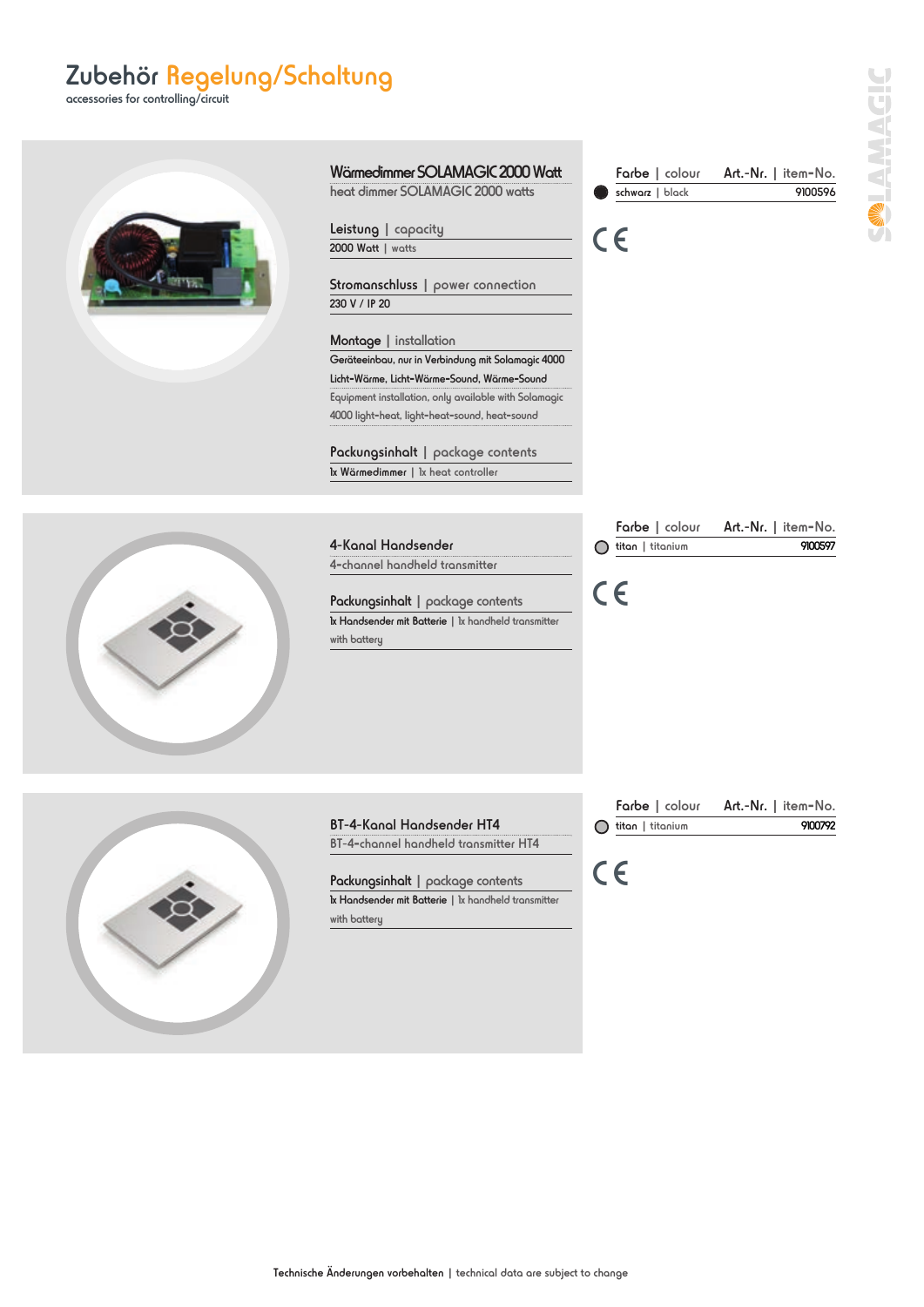## Zubehör Regelung/Schaltung

accessories for controlling/circuit

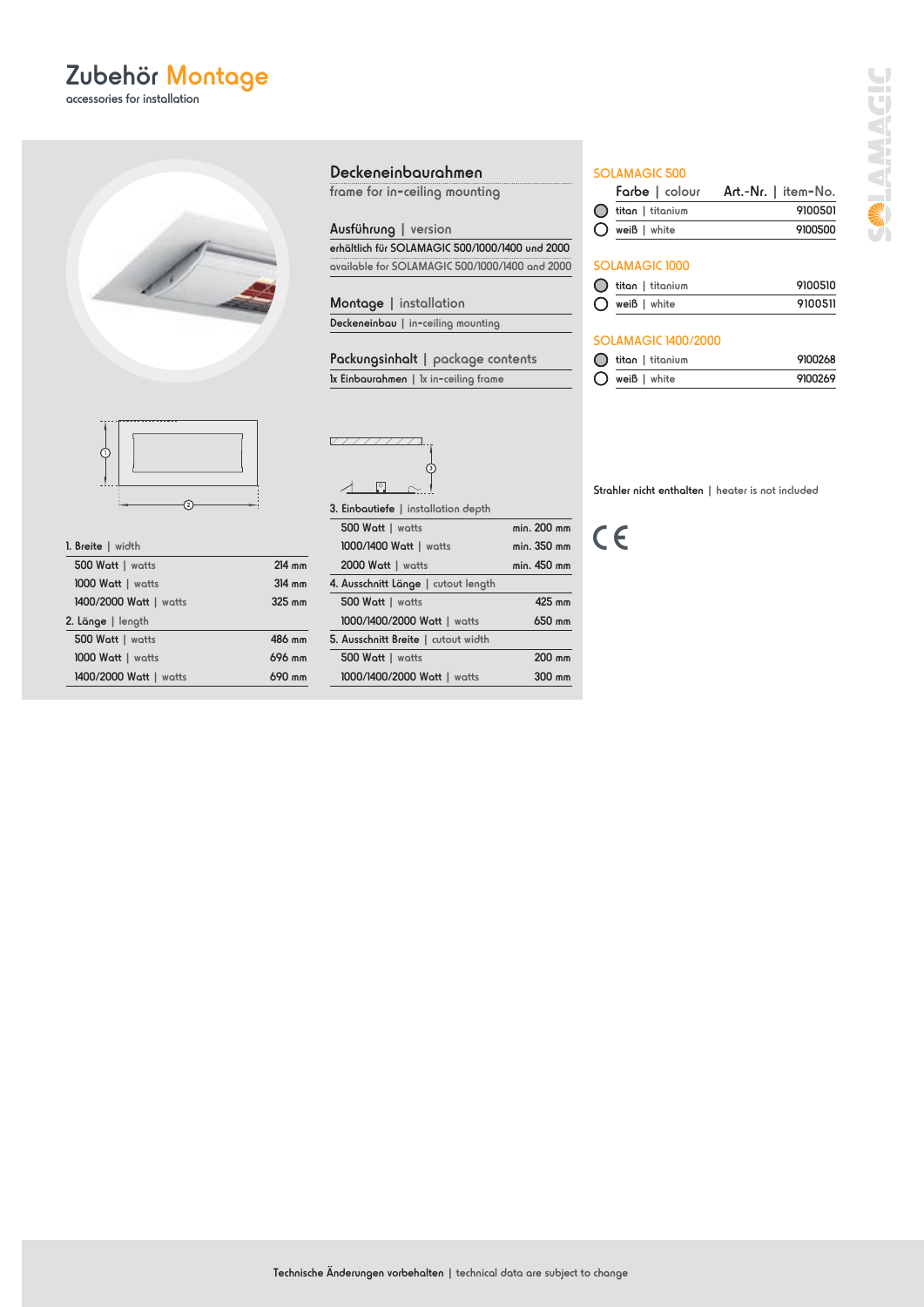accessories for installation





| 1. Breite   width |  |
|-------------------|--|
|                   |  |

| 500 Watt   watts       | $214$ mm |
|------------------------|----------|
| 1000 Watt   watts      | $314$ mm |
| 1400/2000 Watt   watts | 325 mm   |
| 2. Länge   length      |          |
| 500 Watt   watts       | 486 mm   |
| 1000 Watt   watts      | 696 mm   |
| 1400/2000 Watt   watts | 690 mm   |

#### Deckeneinbaurahmen

frame for in**-**ceiling mounting

Ausführung | version erhältlich für SOLAMAGIC 500/1000/1400 und 2000 available for SOLAMAGIC 500/1000/1400 and 2000

Montage | installation Deckeneinbau | in**-**ceiling mounting

Packungsinhalt | package contents 1x Einbaurahmen | 1x in**-**ceiling frame

 $277777777$  $\overline{\mathcal{L}}$ 1  $\sim$  1

3. Einbautiefe | installation depth

| 500 Watt   watts                    | min. 200 mm |
|-------------------------------------|-------------|
| 1000/1400 Watt   watts              | min. 350 mm |
| 2000 Watt   watts                   | min. 450 mm |
| 4. Ausschnitt Länge   cutout length |             |
| 500 Watt   watts                    | 425 mm      |
| 1000/1400/2000 Watt   watts         | 650 mm      |
| 5. Ausschnitt Breite   cutout width |             |
| 500 Watt   watts                    | 200 mm      |
| 1000/1400/2000 Watt   watts         | $300$ mm    |

#### SOLAMAGIC 500

|                            | Farbe   colour Art.-Nr.   item-No. |
|----------------------------|------------------------------------|
| $\bigcap$ titan   titanium | 9100501                            |
| $\bigcap$ weiß   white     | 9100500                            |

#### SOLAMAGIC 1000

| $\bigcirc$ titan   titanium | 9100510 |
|-----------------------------|---------|
| $\bigcirc$ weiß   white     | 9100511 |

#### SOLAMAGIC 1400/2000

| $\bigcirc$ titan   titanium | 9100268 |
|-----------------------------|---------|
| $\bigcirc$ weiß   white     | 9100269 |

Strahler nicht enthalten | heater is not included

C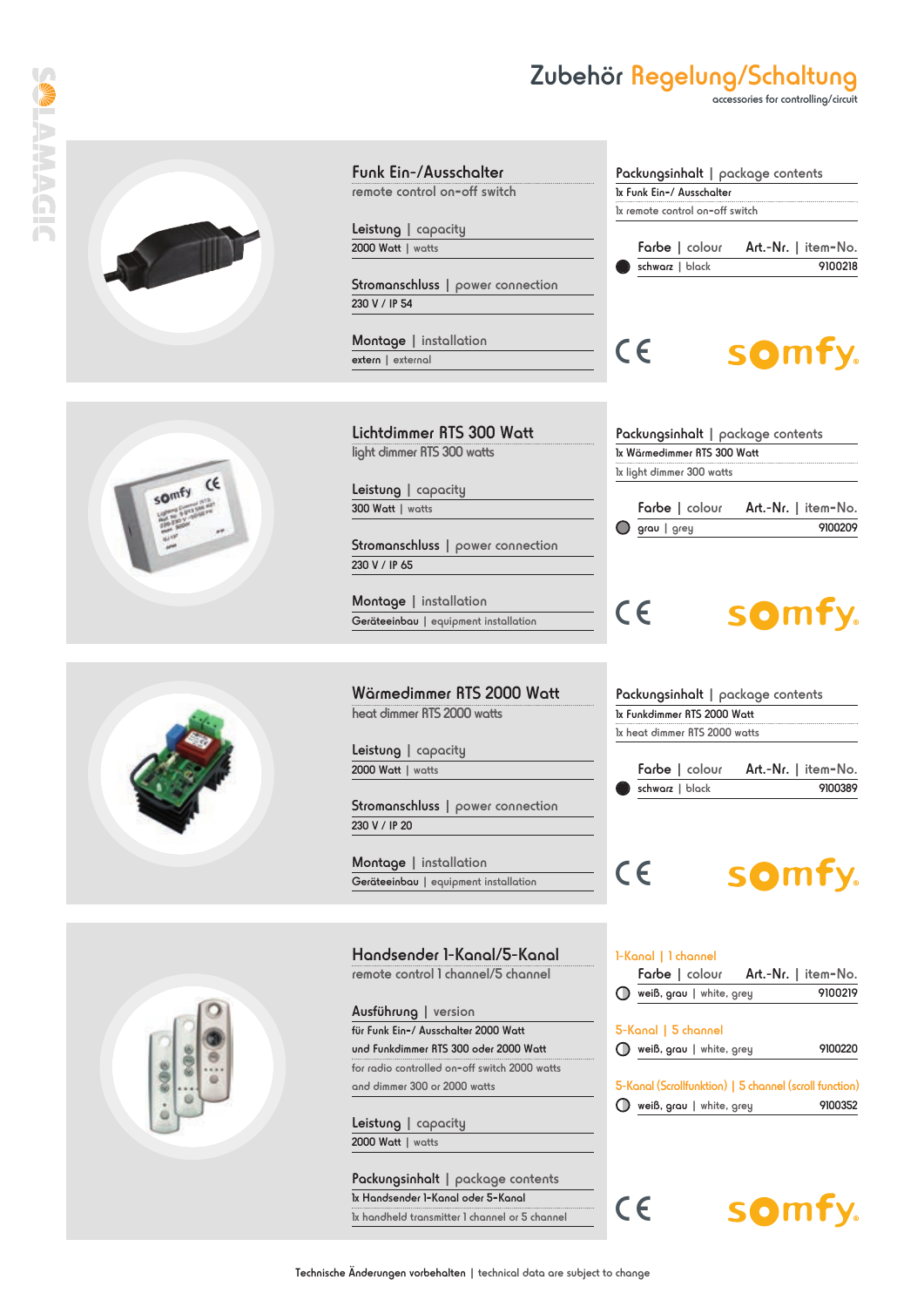### Zubehör Regelung/Schaltung

accessories for controlling/circuit



**TARABEC** 







Funk Ein-/Ausschalter remote control on**-**off switch

Leistung | capacity 2000 Watt | watts

Stromanschluss | power connection 230 V / IP 54

Montage | installation extern | external

Lichtdimmer RTS 300 Watt light dimmer RTS 300 watts

Leistung | capacity 300 Watt | watts

Stromanschluss | power connection 230 V / IP 65

Montage | installation Geräteeinbau | equipment installation

Wärmedimmer RTS 2000 Watt heat dimmer RTS 2000 watts

Leistung | capacity 2000 Watt | watts

Stromanschluss | power connection 230 V / IP 20

Montage | installation Geräteeinbau | equipment installation

Handsender 1-Kanal/5-Kanal remote control 1 channel/5 channel

Ausführung | version für Funk Ein**-**/ Ausschalter 2000 Watt und Funkdimmer RTS 300 oder 2000 Watt for radio controlled on**-**off switch 2000 watts and dimmer 300 or 2000 watts

Leistung | capacity 2000 Watt | watts

Packungsinhalt | package contents 1x Handsender 1**-**Kanal oder 5**-**Kanal 1x handheld transmitter 1 channel or 5 channel

| 1x Funk Ein-/ Ausschalter<br>1x remote control on-off switch |                 |         |
|--------------------------------------------------------------|-----------------|---------|
|                                                              |                 |         |
|                                                              | schwarz   black | 9100218 |
|                                                              |                 |         |
|                                                              |                 |         |

Packungsinhalt | package contents

CE<sup>1</sup> somfy.

|            | Packungsinhalt   package contents |                                    |
|------------|-----------------------------------|------------------------------------|
|            | 1x Wärmedimmer RTS 300 Watt       |                                    |
|            | 1x light dimmer 300 watts         |                                    |
|            |                                   | Farbe   colour Art.-Nr.   item-No. |
| $\bigcirc$ | grau   grey                       | 9100209                            |

## CE<sup>1</sup>

# somfy.

| Packungsinhalt   package contents                            |  |  |
|--------------------------------------------------------------|--|--|
| 1x Funkdimmer RTS 2000 Watt<br>Ix heat dimmer RTS 2000 watts |  |  |
|                                                              |  |  |

### somfy. CE L

schwarz | black 9100389

1-Kanal | 1 channel weiß, grau | white, grey 9100220 Farbe | colour Art.-Nr. | item**-**No.  $\overline{O}$  weiß, grau | white, grey 9100219 5-Kanal | 5 channel  $\bigcirc$  weiß, grau | white, grey 9100352 5-Kanal (Scrollfunktion) | 5 channel (scroll function)

somfy. CE<sup>1</sup>

Technische Änderungen vorbehalten | technical data are subject to change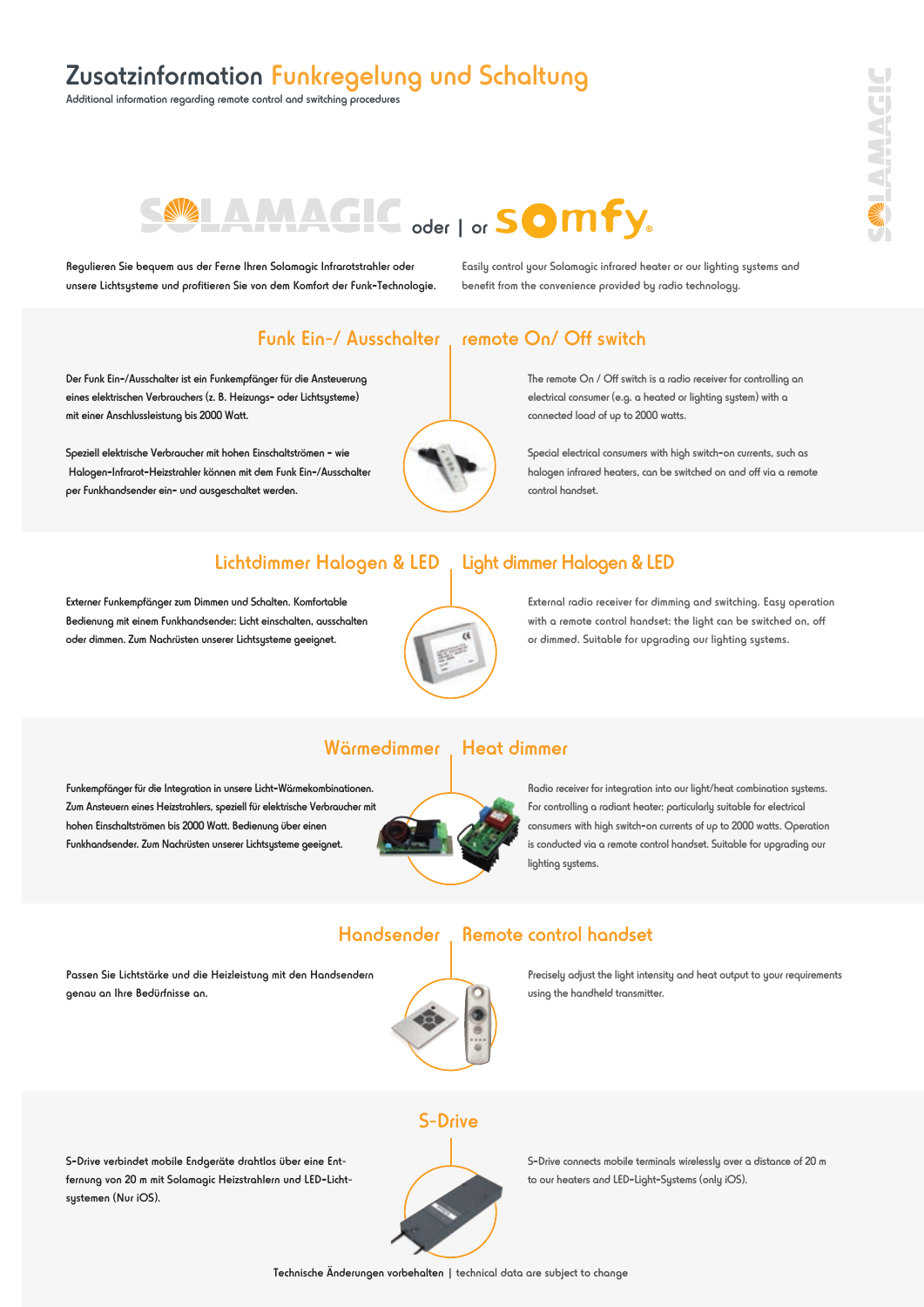## Zusatzinformation Funkregelung und Schaltung

Additional information regarding remote control and switching procedures

# SWIAMAGIC oder | or SOMFY.

Regulieren Sie bequem aus der Ferne Ihren Solamagic Infrarotstrahler oder unsere Lichtsysteme und profitieren Sie von dem Komfort der Funk**-**Technologie. Easily control your Solamagic infrared heater or our lighting systems and benefit from the convenience provided by radio technology.

### Funk Ein-/ Ausschalter

Der Funk Ein**-**/Ausschalter ist ein Funkempfänger für die Ansteuerung eines elektrischen Verbrauchers (z. B. Heizungs**-** oder Lichtsysteme) mit einer Anschlussleistung bis 2000 Watt.

Speziell elektrische Verbraucher mit hohen Einschaltströmen **-** wie Halogen**-**Infrarot**-**Heizstrahler können mit dem Funk Ein**-**/Ausschalter per Funkhandsender ein**-** und ausgeschaltet werden.



### remote On/ Off switch

The remote On / Off switch is a radio receiver for controlling an electrical consumer (e.g. a heated or lighting system) with a connected load of up to 2000 watts.

Special electrical consumers with high switch**-**on currents, such as halogen infrared heaters, can be switched on and off via a remote control handset.

### Lichtdimmer Halogen & LED, Light dimmer Halogen & LED

Externer Funkempfänger zum Dimmen und Schalten. Komfortable Bedienung mit einem Funkhandsender: Licht einschalten, ausschalten oder dimmen. Zum Nachrüsten unserer Lichtsysteme geeignet.



External radio receiver for dimming and switching. Easy operation with a remote control handset: the light can be switched on, off or dimmed. Suitable for upgrading our lighting systems.

### Wärmedimmer

Funkempfänger für die Integration in unsere Licht**-**Wärmekombinationen. Zum Ansteuern eines Heizstrahlers, speziell für elektrische Verbraucher mit hohen Einschaltströmen bis 2000 Watt. Bedienung über einen Funkhandsender. Zum Nachrüsten unserer Lichtsysteme geeignet.

Passen Sie Lichtstärke und die Heizleistung mit den Handsendern

genau an Ihre Bedürfnisse an.

### Heat dimmer

Remote control handset

Radio receiver for integration into our light/heat combination systems. For controlling a radiant heater; particularly suitable for electrical consumers with high switch**-**on currents of up to 2000 watts. Operation is conducted via a remote control handset. Suitable for upgrading our lighting systems.

#### **Handsender**



Precisely adjust the light intensity and heat output to your requirements using the handheld transmitter.

S**-**Drive verbindet mobile Endgeräte drahtlos über eine Entfernung von 20 m mit Solamagic Heizstrahlern und LED**-**Lichtsystemen (Nur iOS).





S**-**Drive connects mobile terminals wirelessly over a distance of 20 m to our heaters and LED**-**Light**-**Systems (only iOS).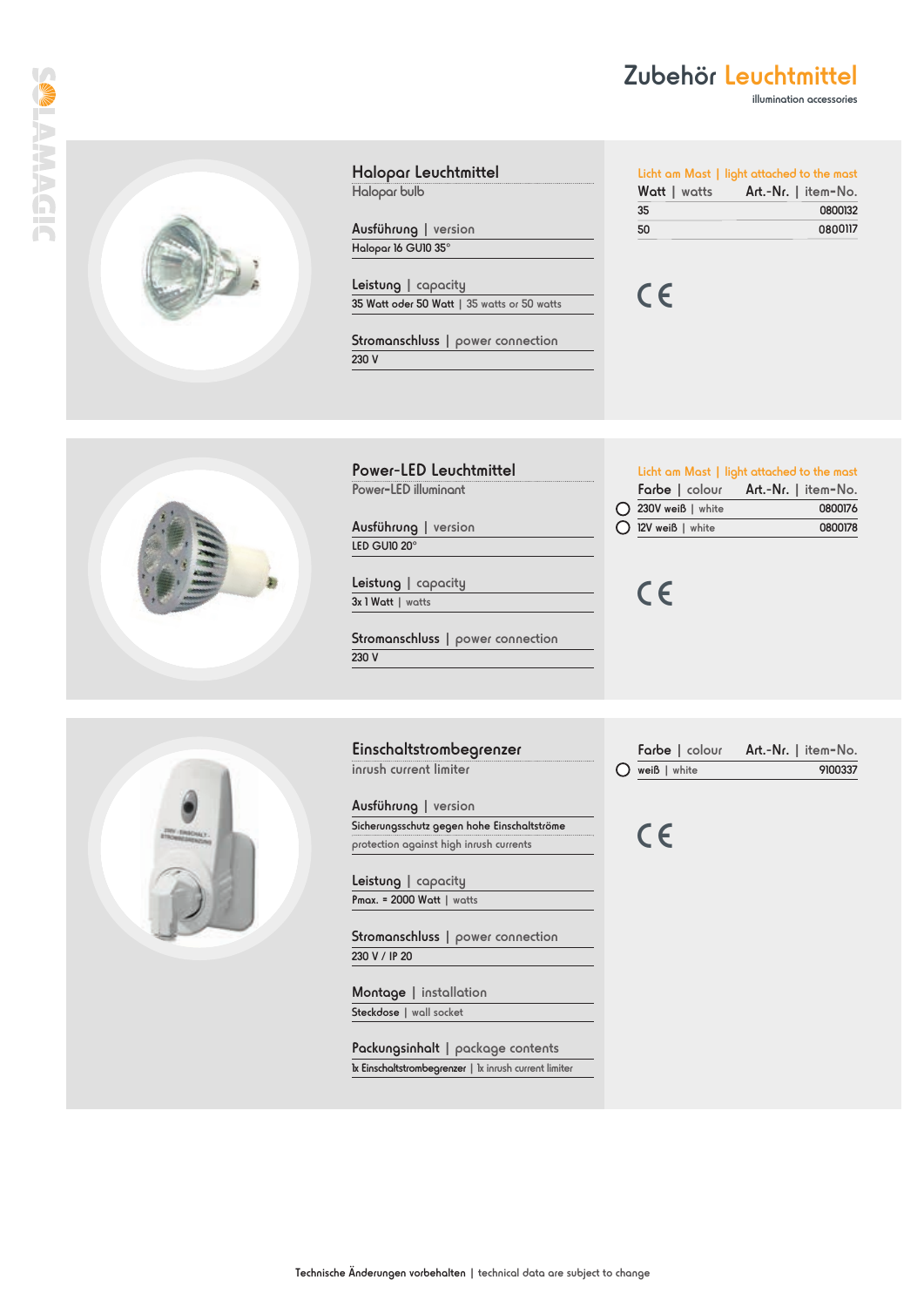### Zubehör Leuchtmittel

illumination accessories



Halopar Leuchtmittel Halopar bulb

Ausführung | version Halopar 16 GU10 35°

Leistung | capacity 35 Watt oder 50 Watt | 35 watts or 50 watts

Stromanschluss | power connection 230 V

Power-LED Leuchtmittel Power**-**LED illuminant

Ausführung | version LED GU10 20°

Leistung | capacity 3x 1 Watt | watts

Stromanschluss | power connection 230 V

Einschaltstrombegrenzer inrush current limiter

Ausführung | version Sicherungsschutz gegen hohe Einschaltströme protection against high inrush currents

Leistung | capacity Pmax. = 2000 Watt | watts

Stromanschluss | power connection 230 V / IP 20

Montage | installation Steckdose | wall socket

Packungsinhalt | package contents 1x Einschaltstrombegrenzer | 1x inrush current limiter

|              | Licht am Mast   light attached to the mast |  |
|--------------|--------------------------------------------|--|
| Watt   watts | Art.-Nr.   item-No.                        |  |
| 35           | 0800132                                    |  |
| 50           | 0800117                                    |  |

Farbe | colour Art.-Nr. | item**-**No. 0800176 12V weiß | white 0800178

Licht am Mast | light attached to the mast

CE





C

CE